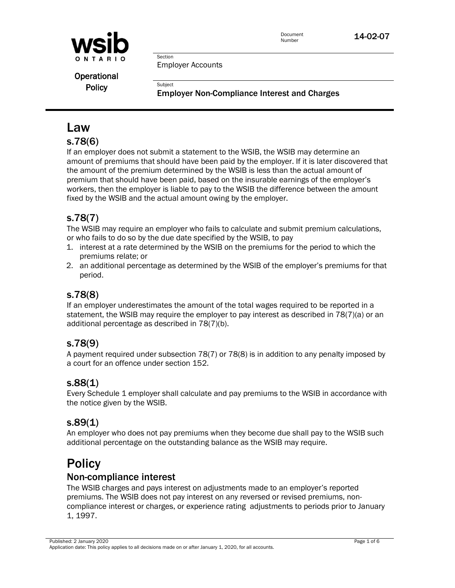

Employer Accounts

Section

**Subject** 

Operational **Policy** 

Employer Non-Compliance Interest and Charges

# Law

## s.78(6)

If an employer does not submit a statement to the WSIB, the WSIB may determine an amount of premiums that should have been paid by the employer. If it is later discovered that the amount of the premium determined by the WSIB is less than the actual amount of premium that should have been paid, based on the insurable earnings of the employer's workers, then the employer is liable to pay to the WSIB the difference between the amount fixed by the WSIB and the actual amount owing by the employer.

# s.78(7)

The WSIB may require an employer who fails to calculate and submit premium calculations, or who fails to do so by the due date specified by the WSIB, to pay

- 1. interest at a rate determined by the WSIB on the premiums for the period to which the premiums relate; or
- 2. an additional percentage as determined by the WSIB of the employer's premiums for that period.

## s.78(8)

If an employer underestimates the amount of the total wages required to be reported in a statement, the WSIB may require the employer to pay interest as described in 78(7)(a) or an additional percentage as described in 78(7)(b).

## s.78(9)

A payment required under subsection 78(7) or 78(8) is in addition to any penalty imposed by a court for an offence under section 152.

## s.88(1)

Every Schedule 1 employer shall calculate and pay premiums to the WSIB in accordance with the notice given by the WSIB.

## s.89(1)

An employer who does not pay premiums when they become due shall pay to the WSIB such additional percentage on the outstanding balance as the WSIB may require.

# **Policy**

## Non-compliance interest

The WSIB charges and pays interest on adjustments made to an employer's reported premiums. The WSIB does not pay interest on any reversed or revised premiums, noncompliance interest or charges, or experience rating adjustments to periods prior to January 1, 1997.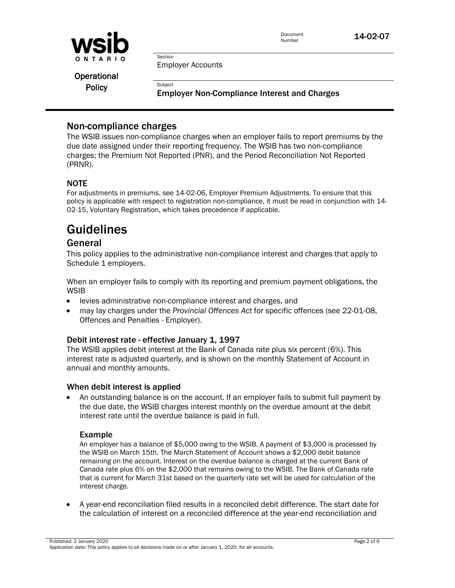

Employer Accounts

Section

**Subject** 

Operational **Policy** 

Employer Non-Compliance Interest and Charges

## Non-compliance charges

The WSIB issues non-compliance charges when an employer fails to report premiums by the due date assigned under their reporting frequency. The WSIB has two non-compliance charges; the Premium Not Reported (PNR), and the Period Reconciliation Not Reported (PRNR).

#### NOTE

For adjustments in premiums, see 14-02-06, Employer Premium Adjustments. To ensure that this policy is applicable with respect to registration non-compliance, it must be read in conjunction with 14- 02-15, Voluntary Registration, which takes precedence if applicable.

# Guidelines

### General

This policy applies to the administrative non-compliance interest and charges that apply to Schedule 1 employers.

When an employer fails to comply with its reporting and premium payment obligations, the **WSIB** 

- levies administrative non-compliance interest and charges, and
- may lay charges under the *Provincial Offences Act* for specific offences (see 22-01-08, Offences and Penalties - Employer).

#### Debit interest rate - effective January 1, 1997

The WSIB applies debit interest at the Bank of Canada rate plus six percent (6%). This interest rate is adjusted quarterly, and is shown on the monthly Statement of Account in annual and monthly amounts.

#### When debit interest is applied

• An outstanding balance is on the account. If an employer fails to submit full payment by the due date, the WSIB charges interest monthly on the overdue amount at the debit interest rate until the overdue balance is paid in full.

#### Example

An employer has a balance of \$5,000 owing to the WSIB. A payment of \$3,000 is processed by the WSIB on March 15th. The March Statement of Account shows a \$2,000 debit balance remaining on the account. Interest on the overdue balance is charged at the current Bank of Canada rate plus 6% on the \$2,000 that remains owing to the WSIB. The Bank of Canada rate that is current for March 31st based on the quarterly rate set will be used for calculation of the interest charge.

• A year-end reconciliation filed results in a reconciled debit difference. The start date for the calculation of interest on a reconciled difference at the year-end reconciliation and

Published: 2 January 2020 Page 2 of 6 Application date: This policy applies to all decisions made on or after January 1, 2020, for all accounts.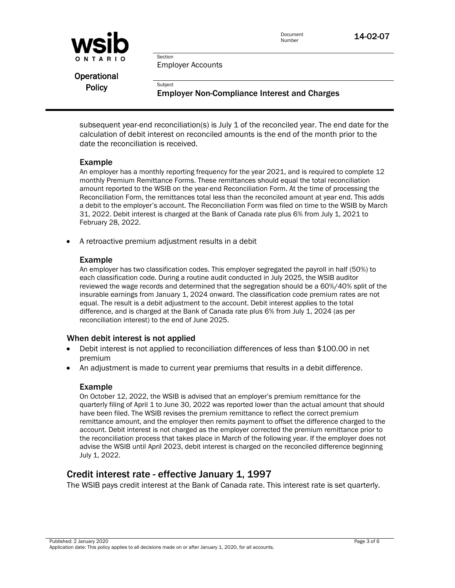

Employer Accounts

Section

**Subject** 

Operational **Policy** 

Employer Non-Compliance Interest and Charges

subsequent year-end reconciliation(s) is July 1 of the reconciled year. The end date for the calculation of debit interest on reconciled amounts is the end of the month prior to the date the reconciliation is received.

#### Example

An employer has a monthly reporting frequency for the year 2021, and is required to complete 12 monthly Premium Remittance Forms. These remittances should equal the total reconciliation amount reported to the WSIB on the year-end Reconciliation Form. At the time of processing the Reconciliation Form, the remittances total less than the reconciled amount at year end. This adds a debit to the employer's account. The Reconciliation Form was filed on time to the WSIB by March 31, 2022. Debit interest is charged at the Bank of Canada rate plus 6% from July 1, 2021 to February 28, 2022.

• A retroactive premium adjustment results in a debit

#### Example

An employer has two classification codes. This employer segregated the payroll in half (50%) to each classification code. During a routine audit conducted in July 2025, the WSIB auditor reviewed the wage records and determined that the segregation should be a 60%/40% split of the insurable earnings from January 1, 2024 onward. The classification code premium rates are not equal. The result is a debit adjustment to the account. Debit interest applies to the total difference, and is charged at the Bank of Canada rate plus 6% from July 1, 2024 (as per reconciliation interest) to the end of June 2025.

#### When debit interest is not applied

- Debit interest is not applied to reconciliation differences of less than \$100.00 in net premium
- An adjustment is made to current year premiums that results in a debit difference.

#### Example

On October 12, 2022, the WSIB is advised that an employer's premium remittance for the quarterly filing of April 1 to June 30, 2022 was reported lower than the actual amount that should have been filed. The WSIB revises the premium remittance to reflect the correct premium remittance amount, and the employer then remits payment to offset the difference charged to the account. Debit interest is not charged as the employer corrected the premium remittance prior to the reconciliation process that takes place in March of the following year. If the employer does not advise the WSIB until April 2023, debit interest is charged on the reconciled difference beginning July 1, 2022.

## Credit interest rate - effective January 1, 1997

The WSIB pays credit interest at the Bank of Canada rate. This interest rate is set quarterly.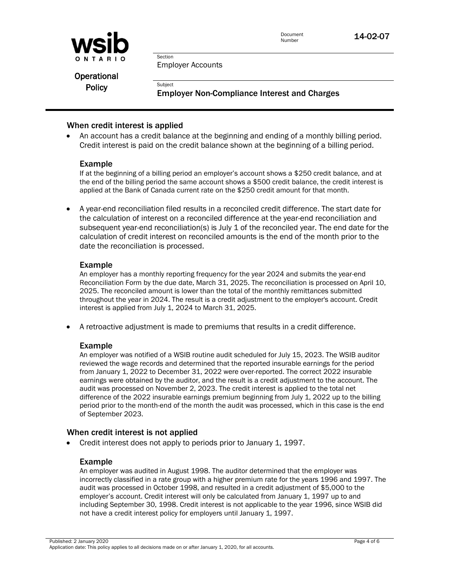

Employer Accounts

Section

**Subject** 

Operational **Policy** 

Employer Non-Compliance Interest and Charges

#### When credit interest is applied

• An account has a credit balance at the beginning and ending of a monthly billing period. Credit interest is paid on the credit balance shown at the beginning of a billing period.

#### Example

If at the beginning of a billing period an employer's account shows a \$250 credit balance, and at the end of the billing period the same account shows a \$500 credit balance, the credit interest is applied at the Bank of Canada current rate on the \$250 credit amount for that month.

• A year-end reconciliation filed results in a reconciled credit difference. The start date for the calculation of interest on a reconciled difference at the year-end reconciliation and subsequent year-end reconciliation(s) is July 1 of the reconciled year. The end date for the calculation of credit interest on reconciled amounts is the end of the month prior to the date the reconciliation is processed.

#### Example

An employer has a monthly reporting frequency for the year 2024 and submits the year-end Reconciliation Form by the due date, March 31, 2025. The reconciliation is processed on April 10, 2025. The reconciled amount is lower than the total of the monthly remittances submitted throughout the year in 2024. The result is a credit adjustment to the employer's account. Credit interest is applied from July 1, 2024 to March 31, 2025.

• A retroactive adjustment is made to premiums that results in a credit difference.

#### Example

An employer was notified of a WSIB routine audit scheduled for July 15, 2023. The WSIB auditor reviewed the wage records and determined that the reported insurable earnings for the period from January 1, 2022 to December 31, 2022 were over-reported. The correct 2022 insurable earnings were obtained by the auditor, and the result is a credit adjustment to the account. The audit was processed on November 2, 2023. The credit interest is applied to the total net difference of the 2022 insurable earnings premium beginning from July 1, 2022 up to the billing period prior to the month-end of the month the audit was processed, which in this case is the end of September 2023.

#### When credit interest is not applied

• Credit interest does not apply to periods prior to January 1, 1997.

#### Example

An employer was audited in August 1998. The auditor determined that the employer was incorrectly classified in a rate group with a higher premium rate for the years 1996 and 1997. The audit was processed in October 1998, and resulted in a credit adjustment of \$5,000 to the employer's account. Credit interest will only be calculated from January 1, 1997 up to and including September 30, 1998. Credit interest is not applicable to the year 1996, since WSIB did not have a credit interest policy for employers until January 1, 1997.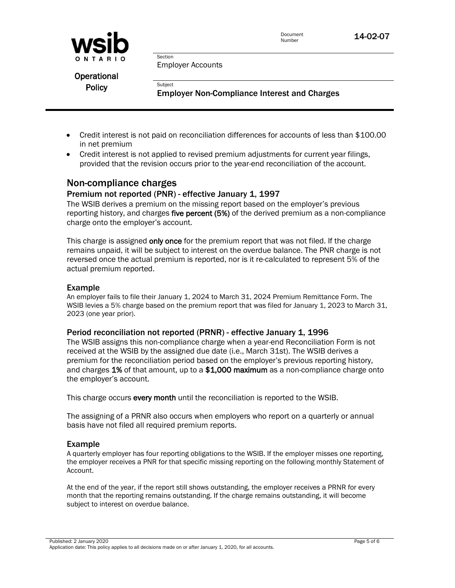

Employer Accounts

Section

**Subject** 

Operational **Policy** 

Employer Non-Compliance Interest and Charges

- Credit interest is not paid on reconciliation differences for accounts of less than \$100.00 in net premium
- Credit interest is not applied to revised premium adjustments for current year filings, provided that the revision occurs prior to the year-end reconciliation of the account.

# Non-compliance charges

#### Premium not reported (PNR) - effective January 1, 1997

The WSIB derives a premium on the missing report based on the employer's previous reporting history, and charges five percent (5%) of the derived premium as a non-compliance charge onto the employer's account.

This charge is assigned only once for the premium report that was not filed. If the charge remains unpaid, it will be subject to interest on the overdue balance. The PNR charge is not reversed once the actual premium is reported, nor is it re-calculated to represent 5% of the actual premium reported.

#### Example

An employer fails to file their January 1, 2024 to March 31, 2024 Premium Remittance Form. The WSIB levies a 5% charge based on the premium report that was filed for January 1, 2023 to March 31, 2023 (one year prior).

#### Period reconciliation not reported (PRNR) - effective January 1, 1996

The WSIB assigns this non-compliance charge when a year-end Reconciliation Form is not received at the WSIB by the assigned due date (i.e., March 31st). The WSIB derives a premium for the reconciliation period based on the employer's previous reporting history, and charges 1% of that amount, up to a  $$1,000$  maximum as a non-compliance charge onto the employer's account.

This charge occurs every month until the reconciliation is reported to the WSIB.

The assigning of a PRNR also occurs when employers who report on a quarterly or annual basis have not filed all required premium reports.

#### Example

A quarterly employer has four reporting obligations to the WSIB. If the employer misses one reporting, the employer receives a PNR for that specific missing reporting on the following monthly Statement of Account.

At the end of the year, if the report still shows outstanding, the employer receives a PRNR for every month that the reporting remains outstanding. If the charge remains outstanding, it will become subject to interest on overdue balance.